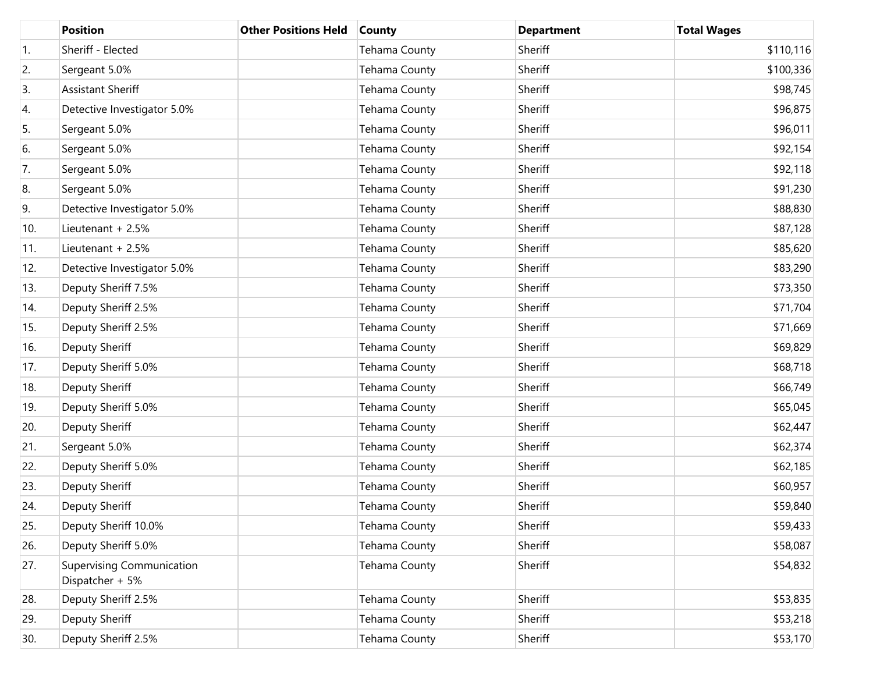|     | <b>Position</b>                                     | <b>Other Positions Held</b> | <b>County</b>        | <b>Department</b> | <b>Total Wages</b> |
|-----|-----------------------------------------------------|-----------------------------|----------------------|-------------------|--------------------|
| 1.  | Sheriff - Elected                                   |                             | Tehama County        | Sheriff           | \$110,116          |
| 2.  | Sergeant 5.0%                                       |                             | Tehama County        | Sheriff           | \$100,336          |
| 3.  | Assistant Sheriff                                   |                             | Tehama County        | Sheriff           | \$98,745           |
| 4.  | Detective Investigator 5.0%                         |                             | Tehama County        | Sheriff           | \$96,875           |
| 5.  | Sergeant 5.0%                                       |                             | Tehama County        | Sheriff           | \$96,011           |
| 6.  | Sergeant 5.0%                                       |                             | <b>Tehama County</b> | Sheriff           | \$92,154           |
| 7.  | Sergeant 5.0%                                       |                             | Tehama County        | Sheriff           | \$92,118           |
| 8.  | Sergeant 5.0%                                       |                             | Tehama County        | Sheriff           | \$91,230           |
| 9.  | Detective Investigator 5.0%                         |                             | Tehama County        | Sheriff           | \$88,830           |
| 10. | Lieutenant + 2.5%                                   |                             | Tehama County        | Sheriff           | \$87,128           |
| 11. | Lieutenant + 2.5%                                   |                             | Tehama County        | Sheriff           | \$85,620           |
| 12. | Detective Investigator 5.0%                         |                             | Tehama County        | Sheriff           | \$83,290           |
| 13. | Deputy Sheriff 7.5%                                 |                             | Tehama County        | Sheriff           | \$73,350           |
| 14. | Deputy Sheriff 2.5%                                 |                             | Tehama County        | Sheriff           | \$71,704           |
| 15. | Deputy Sheriff 2.5%                                 |                             | Tehama County        | Sheriff           | \$71,669           |
| 16. | Deputy Sheriff                                      |                             | Tehama County        | Sheriff           | \$69,829           |
| 17. | Deputy Sheriff 5.0%                                 |                             | Tehama County        | Sheriff           | \$68,718           |
| 18. | Deputy Sheriff                                      |                             | Tehama County        | Sheriff           | \$66,749           |
| 19. | Deputy Sheriff 5.0%                                 |                             | Tehama County        | Sheriff           | \$65,045           |
| 20. | Deputy Sheriff                                      |                             | Tehama County        | Sheriff           | \$62,447           |
| 21. | Sergeant 5.0%                                       |                             | Tehama County        | Sheriff           | \$62,374           |
| 22. | Deputy Sheriff 5.0%                                 |                             | Tehama County        | Sheriff           | \$62,185           |
| 23. | Deputy Sheriff                                      |                             | Tehama County        | Sheriff           | \$60,957           |
| 24. | Deputy Sheriff                                      |                             | Tehama County        | Sheriff           | \$59,840           |
| 25. | Deputy Sheriff 10.0%                                |                             | Tehama County        | Sheriff           | \$59,433           |
| 26. | Deputy Sheriff 5.0%                                 |                             | Tehama County        | Sheriff           | \$58,087           |
| 27. | <b>Supervising Communication</b><br>Dispatcher + 5% |                             | Tehama County        | Sheriff           | \$54,832           |
| 28. | Deputy Sheriff 2.5%                                 |                             | <b>Tehama County</b> | Sheriff           | \$53,835           |
| 29. | Deputy Sheriff                                      |                             | <b>Tehama County</b> | Sheriff           | \$53,218           |
| 30. | Deputy Sheriff 2.5%                                 |                             | Tehama County        | Sheriff           | \$53,170           |